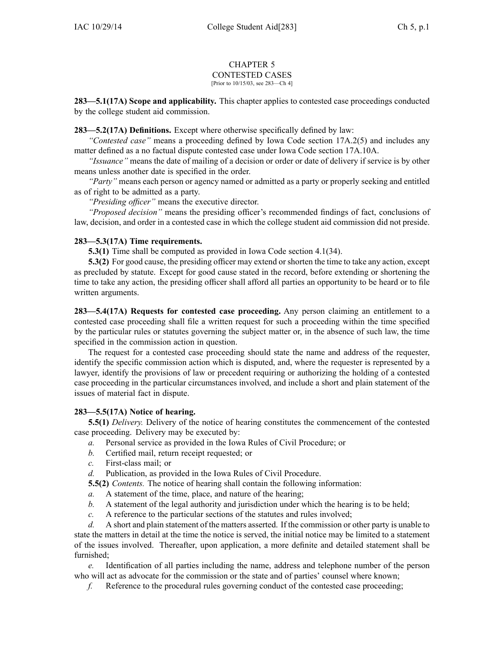#### CHAPTER 5 CONTESTED CASES [Prior to 10/15/03, see 283—Ch 4]

**283—5.1(17A) Scope and applicability.** This chapter applies to contested case proceedings conducted by the college student aid commission.

**283—5.2(17A) Definitions.** Except where otherwise specifically defined by law:

*"Contested case"* means <sup>a</sup> proceeding defined by Iowa Code section [17A.2\(5\)](https://www.legis.iowa.gov/docs/ico/section/17A.2.pdf) and includes any matter defined as <sup>a</sup> no factual dispute contested case under Iowa Code section [17A.10A](https://www.legis.iowa.gov/docs/ico/section/17A.10A.pdf).

*"Issuance"* means the date of mailing of <sup>a</sup> decision or order or date of delivery if service is by other means unless another date is specified in the order.

*"Party"* means each person or agency named or admitted as <sup>a</sup> party or properly seeking and entitled as of right to be admitted as <sup>a</sup> party.

*"Presiding officer"* means the executive director.

*"Proposed decision"* means the presiding officer's recommended findings of fact, conclusions of law, decision, and order in <sup>a</sup> contested case in which the college student aid commission did not preside.

# **283—5.3(17A) Time requirements.**

**5.3(1)** Time shall be computed as provided in Iowa Code section [4.1\(34\)](https://www.legis.iowa.gov/docs/ico/section/4.1.pdf).

**5.3(2)** For good cause, the presiding officer may extend or shorten the time to take any action, excep<sup>t</sup> as precluded by statute. Except for good cause stated in the record, before extending or shortening the time to take any action, the presiding officer shall afford all parties an opportunity to be heard or to file written arguments.

**283—5.4(17A) Requests for contested case proceeding.** Any person claiming an entitlement to <sup>a</sup> contested case proceeding shall file <sup>a</sup> written reques<sup>t</sup> for such <sup>a</sup> proceeding within the time specified by the particular rules or statutes governing the subject matter or, in the absence of such law, the time specified in the commission action in question.

The reques<sup>t</sup> for <sup>a</sup> contested case proceeding should state the name and address of the requester, identify the specific commission action which is disputed, and, where the requester is represented by <sup>a</sup> lawyer, identify the provisions of law or precedent requiring or authorizing the holding of <sup>a</sup> contested case proceeding in the particular circumstances involved, and include <sup>a</sup> short and plain statement of the issues of material fact in dispute.

### **283—5.5(17A) Notice of hearing.**

**5.5(1)** *Delivery.* Delivery of the notice of hearing constitutes the commencement of the contested case proceeding. Delivery may be executed by:

- *a.* Personal service as provided in the Iowa Rules of Civil Procedure; or
- *b.* Certified mail, return receipt requested; or
- *c.* First-class mail; or
- *d.* Publication, as provided in the Iowa Rules of Civil Procedure.

**5.5(2)** *Contents.* The notice of hearing shall contain the following information:

- *a.* A statement of the time, place, and nature of the hearing;
- *b.* A statement of the legal authority and jurisdiction under which the hearing is to be held;
- *c.* A reference to the particular sections of the statutes and rules involved;

*d.* A short and plain statement of the matters asserted. If the commission or other party is unable to state the matters in detail at the time the notice is served, the initial notice may be limited to <sup>a</sup> statement of the issues involved. Thereafter, upon application, <sup>a</sup> more definite and detailed statement shall be furnished;

*e.* Identification of all parties including the name, address and telephone number of the person who will act as advocate for the commission or the state and of parties' counsel where known;

*f.* Reference to the procedural rules governing conduct of the contested case proceeding;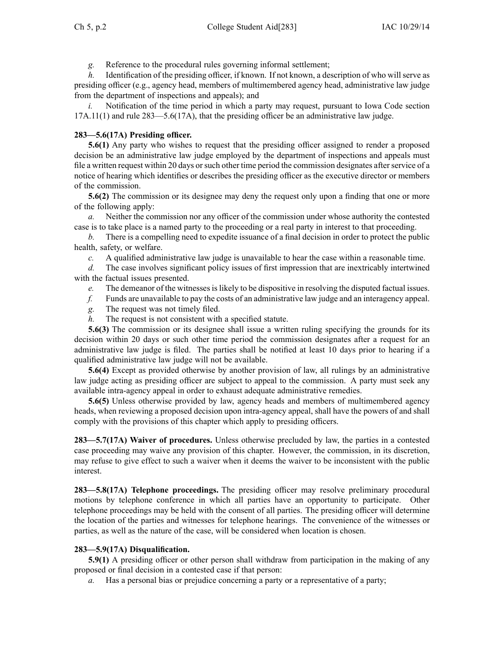*g.* Reference to the procedural rules governing informal settlement;

*h.* Identification of the presiding officer, if known. If not known, a description of who will serve as presiding officer (e.g., agency head, members of multimembered agency head, administrative law judge from the department of inspections and appeals); and

*i.* Notification of the time period in which a party may request, pursuant to Iowa Code section [17A.11\(1\)](https://www.legis.iowa.gov/docs/ico/section/17A.11.pdf) and rule 283—5.6(17A), that the presiding officer be an administrative law judge.

# **283—5.6(17A) Presiding officer.**

**5.6(1)** Any party who wishes to reques<sup>t</sup> that the presiding officer assigned to render <sup>a</sup> proposed decision be an administrative law judge employed by the department of inspections and appeals must file a written request within 20 days or such other time period the commission designates after service of a notice of hearing which identifies or describes the presiding officer as the executive director or members of the commission.

**5.6(2)** The commission or its designee may deny the reques<sup>t</sup> only upon <sup>a</sup> finding that one or more of the following apply:

*a.* Neither the commission nor any officer of the commission under whose authority the contested case is to take place is <sup>a</sup> named party to the proceeding or <sup>a</sup> real party in interest to that proceeding.

*b.* There is <sup>a</sup> compelling need to expedite issuance of <sup>a</sup> final decision in order to protect the public health, safety, or welfare.

*c.* A qualified administrative law judge is unavailable to hear the case within <sup>a</sup> reasonable time.

*d.* The case involves significant policy issues of first impression that are inextricably intertwined with the factual issues presented.

- *e.* The demeanor of the witnessesislikely to be dispositive in resolving the disputed factual issues.
- *f.* Funds are unavailable to pay the costs of an administrative law judge and an interagency appeal.
- *g.* The reques<sup>t</sup> was not timely filed.
- *h.* The reques<sup>t</sup> is not consistent with <sup>a</sup> specified statute.

**5.6(3)** The commission or its designee shall issue <sup>a</sup> written ruling specifying the grounds for its decision within 20 days or such other time period the commission designates after <sup>a</sup> reques<sup>t</sup> for an administrative law judge is filed. The parties shall be notified at least 10 days prior to hearing if <sup>a</sup> qualified administrative law judge will not be available.

**5.6(4)** Except as provided otherwise by another provision of law, all rulings by an administrative law judge acting as presiding officer are subject to appeal to the commission. A party must seek any available intra-agency appeal in order to exhaust adequate administrative remedies.

**5.6(5)** Unless otherwise provided by law, agency heads and members of multimembered agency heads, when reviewing <sup>a</sup> proposed decision upon intra-agency appeal, shall have the powers of and shall comply with the provisions of this chapter which apply to presiding officers.

**283—5.7(17A) Waiver of procedures.** Unless otherwise precluded by law, the parties in <sup>a</sup> contested case proceeding may waive any provision of this chapter. However, the commission, in its discretion, may refuse to give effect to such <sup>a</sup> waiver when it deems the waiver to be inconsistent with the public interest.

**283—5.8(17A) Telephone proceedings.** The presiding officer may resolve preliminary procedural motions by telephone conference in which all parties have an opportunity to participate. Other telephone proceedings may be held with the consent of all parties. The presiding officer will determine the location of the parties and witnesses for telephone hearings. The convenience of the witnesses or parties, as well as the nature of the case, will be considered when location is chosen.

# **283—5.9(17A) Disqualification.**

**5.9(1)** A presiding officer or other person shall withdraw from participation in the making of any proposed or final decision in <sup>a</sup> contested case if that person:

*a.* Has a personal bias or prejudice concerning a party or a representative of a party;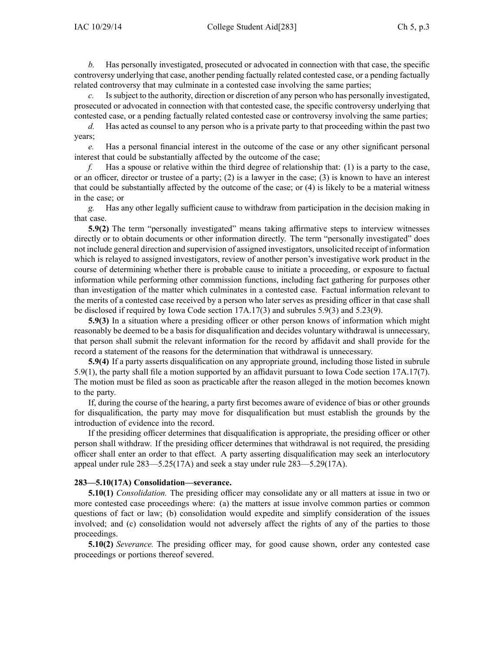*b.* Has personally investigated, prosecuted or advocated in connection with that case, the specific controversy underlying that case, another pending factually related contested case, or <sup>a</sup> pending factually related controversy that may culminate in <sup>a</sup> contested case involving the same parties;

*c.* Issubject to the authority, direction or discretion of any person who has personally investigated, prosecuted or advocated in connection with that contested case, the specific controversy underlying that contested case, or <sup>a</sup> pending factually related contested case or controversy involving the same parties;

*d.* Has acted as counsel to any person who is <sup>a</sup> private party to that proceeding within the pas<sup>t</sup> two years;

*e.* Has <sup>a</sup> personal financial interest in the outcome of the case or any other significant personal interest that could be substantially affected by the outcome of the case;

*f.* Has <sup>a</sup> spouse or relative within the third degree of relationship that: (1) is <sup>a</sup> party to the case, or an officer, director or trustee of <sup>a</sup> party; (2) is <sup>a</sup> lawyer in the case; (3) is known to have an interest that could be substantially affected by the outcome of the case; or (4) is likely to be <sup>a</sup> material witness in the case; or

*g.* Has any other legally sufficient cause to withdraw from participation in the decision making in that case.

**5.9(2)** The term "personally investigated" means taking affirmative steps to interview witnesses directly or to obtain documents or other information directly. The term "personally investigated" does not include general direction and supervision of assigned investigators, unsolicited receipt of information which is relayed to assigned investigators, review of another person's investigative work product in the course of determining whether there is probable cause to initiate <sup>a</sup> proceeding, or exposure to factual information while performing other commission functions, including fact gathering for purposes other than investigation of the matter which culminates in <sup>a</sup> contested case. Factual information relevant to the merits of <sup>a</sup> contested case received by <sup>a</sup> person who later serves as presiding officer in that case shall be disclosed if required by Iowa Code section [17A.17\(3\)](https://www.legis.iowa.gov/docs/ico/section/17A.17.pdf) and subrules 5.9(3) and 5.23(9).

**5.9(3)** In <sup>a</sup> situation where <sup>a</sup> presiding officer or other person knows of information which might reasonably be deemed to be <sup>a</sup> basis for disqualification and decides voluntary withdrawal is unnecessary, that person shall submit the relevant information for the record by affidavit and shall provide for the record <sup>a</sup> statement of the reasons for the determination that withdrawal is unnecessary.

**5.9(4)** If <sup>a</sup> party asserts disqualification on any appropriate ground, including those listed in subrule 5.9(1), the party shall file <sup>a</sup> motion supported by an affidavit pursuan<sup>t</sup> to Iowa Code section [17A.17\(7\)](https://www.legis.iowa.gov/docs/ico/section/17A.17.pdf). The motion must be filed as soon as practicable after the reason alleged in the motion becomes known to the party.

If, during the course of the hearing, <sup>a</sup> party first becomes aware of evidence of bias or other grounds for disqualification, the party may move for disqualification but must establish the grounds by the introduction of evidence into the record.

If the presiding officer determines that disqualification is appropriate, the presiding officer or other person shall withdraw. If the presiding officer determines that withdrawal is not required, the presiding officer shall enter an order to that effect. A party asserting disqualification may seek an interlocutory appeal under rule 283—5.25(17A) and seek <sup>a</sup> stay under rule 283—5.29(17A).

#### **283—5.10(17A) Consolidation—severance.**

**5.10(1)** *Consolidation.* The presiding officer may consolidate any or all matters at issue in two or more contested case proceedings where: (a) the matters at issue involve common parties or common questions of fact or law; (b) consolidation would expedite and simplify consideration of the issues involved; and (c) consolidation would not adversely affect the rights of any of the parties to those proceedings.

**5.10(2)** *Severance.* The presiding officer may, for good cause shown, order any contested case proceedings or portions thereof severed.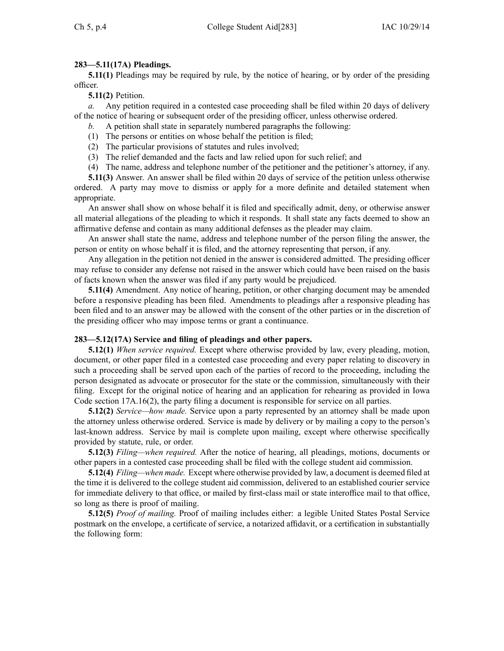# **283—5.11(17A) Pleadings.**

**5.11(1)** Pleadings may be required by rule, by the notice of hearing, or by order of the presiding officer.

**5.11(2)** Petition.

*a.* Any petition required in <sup>a</sup> contested case proceeding shall be filed within 20 days of delivery of the notice of hearing or subsequent order of the presiding officer, unless otherwise ordered.

- *b.* A petition shall state in separately numbered paragraphs the following:
- (1) The persons or entities on whose behalf the petition is filed;
- (2) The particular provisions of statutes and rules involved;
- (3) The relief demanded and the facts and law relied upon for such relief; and
- (4) The name, address and telephone number of the petitioner and the petitioner's attorney, if any.

**5.11(3)** Answer. An answer shall be filed within 20 days of service of the petition unless otherwise ordered. A party may move to dismiss or apply for <sup>a</sup> more definite and detailed statement when appropriate.

An answer shall show on whose behalf it is filed and specifically admit, deny, or otherwise answer all material allegations of the pleading to which it responds. It shall state any facts deemed to show an affirmative defense and contain as many additional defenses as the pleader may claim.

An answer shall state the name, address and telephone number of the person filing the answer, the person or entity on whose behalf it is filed, and the attorney representing that person, if any.

Any allegation in the petition not denied in the answer is considered admitted. The presiding officer may refuse to consider any defense not raised in the answer which could have been raised on the basis of facts known when the answer was filed if any party would be prejudiced.

**5.11(4)** Amendment. Any notice of hearing, petition, or other charging document may be amended before <sup>a</sup> responsive pleading has been filed. Amendments to pleadings after <sup>a</sup> responsive pleading has been filed and to an answer may be allowed with the consent of the other parties or in the discretion of the presiding officer who may impose terms or gran<sup>t</sup> <sup>a</sup> continuance.

### **283—5.12(17A) Service and filing of pleadings and other papers.**

**5.12(1)** *When service required.* Except where otherwise provided by law, every pleading, motion, document, or other paper filed in <sup>a</sup> contested case proceeding and every paper relating to discovery in such <sup>a</sup> proceeding shall be served upon each of the parties of record to the proceeding, including the person designated as advocate or prosecutor for the state or the commission, simultaneously with their filing. Except for the original notice of hearing and an application for rehearing as provided in Iowa Code section [17A.16\(2\)](https://www.legis.iowa.gov/docs/ico/section/17A.16.pdf), the party filing <sup>a</sup> document is responsible for service on all parties.

**5.12(2)** *Service—how made.* Service upon <sup>a</sup> party represented by an attorney shall be made upon the attorney unless otherwise ordered. Service is made by delivery or by mailing <sup>a</sup> copy to the person's last-known address. Service by mail is complete upon mailing, excep<sup>t</sup> where otherwise specifically provided by statute, rule, or order.

**5.12(3)** *Filing—when required.* After the notice of hearing, all pleadings, motions, documents or other papers in <sup>a</sup> contested case proceeding shall be filed with the college student aid commission.

**5.12(4)** *Filing—when made.* Except where otherwise provided by law, <sup>a</sup> document is deemed filed at the time it is delivered to the college student aid commission, delivered to an established courier service for immediate delivery to that office, or mailed by first-class mail or state interoffice mail to that office, so long as there is proof of mailing.

**5.12(5)** *Proof of mailing.* Proof of mailing includes either: <sup>a</sup> legible United States Postal Service postmark on the envelope, <sup>a</sup> certificate of service, <sup>a</sup> notarized affidavit, or <sup>a</sup> certification in substantially the following form: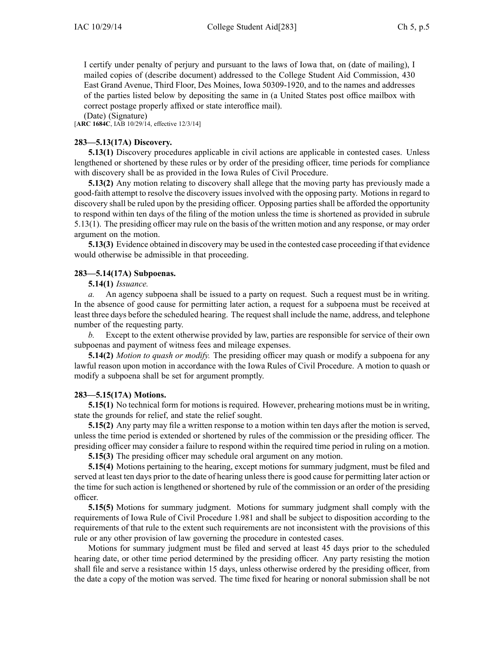I certify under penalty of perjury and pursuan<sup>t</sup> to the laws of Iowa that, on (date of mailing), I mailed copies of (describe document) addressed to the College Student Aid Commission, 430 East Grand Avenue, Third Floor, Des Moines, Iowa 50309-1920, and to the names and addresses of the parties listed below by depositing the same in (a United States pos<sup>t</sup> office mailbox with correct postage properly affixed or state interoffice mail).

(Date) (Signature) [**ARC 1684C**, IAB 10/29/14, effective 12/3/14]

# **283—5.13(17A) Discovery.**

**5.13(1)** Discovery procedures applicable in civil actions are applicable in contested cases. Unless lengthened or shortened by these rules or by order of the presiding officer, time periods for compliance with discovery shall be as provided in the Iowa Rules of Civil Procedure.

**5.13(2)** Any motion relating to discovery shall allege that the moving party has previously made <sup>a</sup> good-faith attempt to resolve the discovery issues involved with the opposing party. Motions in regard to discovery shall be ruled upon by the presiding officer. Opposing parties shall be afforded the opportunity to respond within ten days of the filing of the motion unless the time is shortened as provided in subrule 5.13(1). The presiding officer may rule on the basis of the written motion and any response, or may order argumen<sup>t</sup> on the motion.

**5.13(3)** Evidence obtained in discovery may be used in the contested case proceeding if that evidence would otherwise be admissible in that proceeding.

# **283—5.14(17A) Subpoenas.**

# **5.14(1)** *Issuance.*

*a.* An agency subpoena shall be issued to <sup>a</sup> party on request. Such <sup>a</sup> reques<sup>t</sup> must be in writing. In the absence of good cause for permitting later action, <sup>a</sup> reques<sup>t</sup> for <sup>a</sup> subpoena must be received at least three days before the scheduled hearing. The reques<sup>t</sup> shall include the name, address, and telephone number of the requesting party.

*b.* Except to the extent otherwise provided by law, parties are responsible for service of their own subpoenas and paymen<sup>t</sup> of witness fees and mileage expenses.

**5.14(2)** *Motion to quash or modify.* The presiding officer may quash or modify <sup>a</sup> subpoena for any lawful reason upon motion in accordance with the Iowa Rules of Civil Procedure. A motion to quash or modify <sup>a</sup> subpoena shall be set for argumen<sup>t</sup> promptly.

### **283—5.15(17A) Motions.**

**5.15(1)** No technical form for motions is required. However, prehearing motions must be in writing, state the grounds for relief, and state the relief sought.

**5.15(2)** Any party may file <sup>a</sup> written response to <sup>a</sup> motion within ten days after the motion is served, unless the time period is extended or shortened by rules of the commission or the presiding officer. The presiding officer may consider <sup>a</sup> failure to respond within the required time period in ruling on <sup>a</sup> motion.

**5.15(3)** The presiding officer may schedule oral argumen<sup>t</sup> on any motion.

**5.15(4)** Motions pertaining to the hearing, excep<sup>t</sup> motions for summary judgment, must be filed and served at least ten days prior to the date of hearing unlessthere is good cause for permitting later action or the time for such action is lengthened or shortened by rule of the commission or an order of the presiding officer.

**5.15(5)** Motions for summary judgment. Motions for summary judgment shall comply with the requirements of Iowa Rule of Civil Procedure 1.981 and shall be subject to disposition according to the requirements of that rule to the extent such requirements are not inconsistent with the provisions of this rule or any other provision of law governing the procedure in contested cases.

Motions for summary judgment must be filed and served at least 45 days prior to the scheduled hearing date, or other time period determined by the presiding officer. Any party resisting the motion shall file and serve <sup>a</sup> resistance within 15 days, unless otherwise ordered by the presiding officer, from the date <sup>a</sup> copy of the motion was served. The time fixed for hearing or nonoral submission shall be not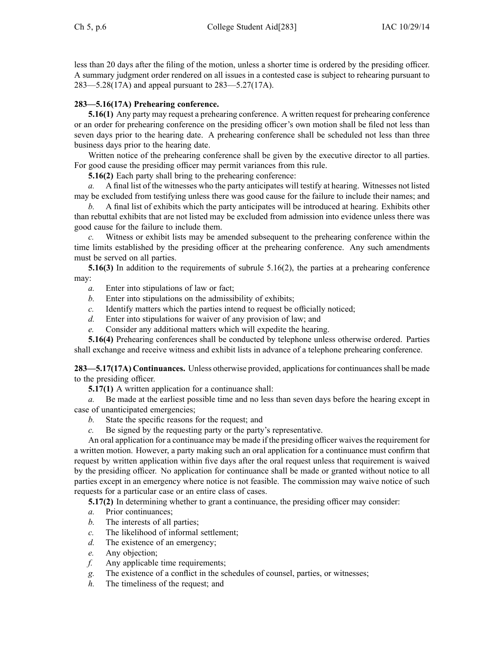less than 20 days after the filing of the motion, unless <sup>a</sup> shorter time is ordered by the presiding officer. A summary judgment order rendered on all issues in <sup>a</sup> contested case is subject to rehearing pursuan<sup>t</sup> to 283—5.28(17A) and appeal pursuan<sup>t</sup> to 283—5.27(17A).

# **283—5.16(17A) Prehearing conference.**

**5.16(1)** Any party may reques<sup>t</sup> <sup>a</sup> prehearing conference. A written reques<sup>t</sup> for prehearing conference or an order for prehearing conference on the presiding officer's own motion shall be filed not less than seven days prior to the hearing date. A prehearing conference shall be scheduled not less than three business days prior to the hearing date.

Written notice of the prehearing conference shall be given by the executive director to all parties. For good cause the presiding officer may permit variances from this rule.

**5.16(2)** Each party shall bring to the prehearing conference:

*a.* A final list of the witnesses who the party anticipates will testify at hearing. Witnesses not listed may be excluded from testifying unless there was good cause for the failure to include their names; and

*b.* A final list of exhibits which the party anticipates will be introduced at hearing. Exhibits other than rebuttal exhibits that are not listed may be excluded from admission into evidence unless there was good cause for the failure to include them.

*c.* Witness or exhibit lists may be amended subsequent to the prehearing conference within the time limits established by the presiding officer at the prehearing conference. Any such amendments must be served on all parties.

**5.16(3)** In addition to the requirements of subrule 5.16(2), the parties at <sup>a</sup> prehearing conference may:

- *a.* Enter into stipulations of law or fact;
- *b.* Enter into stipulations on the admissibility of exhibits;
- *c.* Identify matters which the parties intend to reques<sup>t</sup> be officially noticed;
- *d.* Enter into stipulations for waiver of any provision of law; and
- *e.* Consider any additional matters which will expedite the hearing.

**5.16(4)** Prehearing conferences shall be conducted by telephone unless otherwise ordered. Parties shall exchange and receive witness and exhibit lists in advance of <sup>a</sup> telephone prehearing conference.

**283—5.17(17A) Continuances.** Unless otherwise provided, applications for continuances shall be made to the presiding officer.

**5.17(1)** A written application for <sup>a</sup> continuance shall:

*a.* Be made at the earliest possible time and no less than seven days before the hearing excep<sup>t</sup> in case of unanticipated emergencies;

- *b.* State the specific reasons for the request; and
- *c.* Be signed by the requesting party or the party's representative.

An oral application for a continuance may be made if the presiding officer waives the requirement for <sup>a</sup> written motion. However, <sup>a</sup> party making such an oral application for <sup>a</sup> continuance must confirm that reques<sup>t</sup> by written application within five days after the oral reques<sup>t</sup> unless that requirement is waived by the presiding officer. No application for continuance shall be made or granted without notice to all parties excep<sup>t</sup> in an emergency where notice is not feasible. The commission may waive notice of such requests for <sup>a</sup> particular case or an entire class of cases.

**5.17(2)** In determining whether to gran<sup>t</sup> <sup>a</sup> continuance, the presiding officer may consider:

- *a.* Prior continuances;
- *b.* The interests of all parties;
- *c.* The likelihood of informal settlement;
- *d.* The existence of an emergency;
- *e.* Any objection;
- *f.* Any applicable time requirements;
- *g.* The existence of <sup>a</sup> conflict in the schedules of counsel, parties, or witnesses;
- *h.* The timeliness of the request; and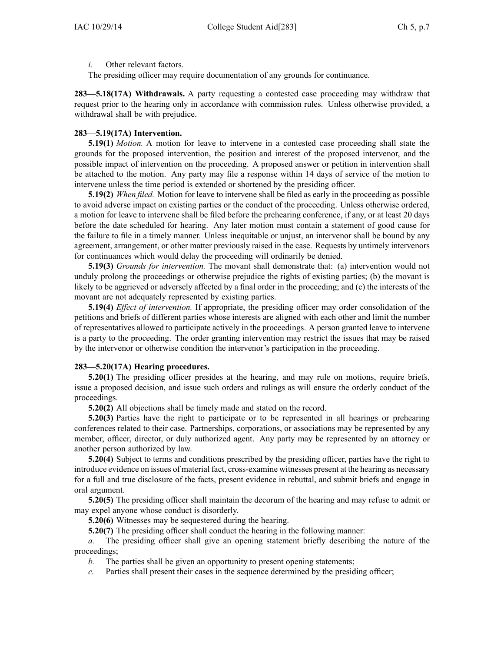*i.* Other relevant factors.

The presiding officer may require documentation of any grounds for continuance.

**283—5.18(17A) Withdrawals.** A party requesting <sup>a</sup> contested case proceeding may withdraw that reques<sup>t</sup> prior to the hearing only in accordance with commission rules. Unless otherwise provided, <sup>a</sup> withdrawal shall be with prejudice.

### **283—5.19(17A) Intervention.**

**5.19(1)** *Motion.* A motion for leave to intervene in <sup>a</sup> contested case proceeding shall state the grounds for the proposed intervention, the position and interest of the proposed intervenor, and the possible impact of intervention on the proceeding. A proposed answer or petition in intervention shall be attached to the motion. Any party may file <sup>a</sup> response within 14 days of service of the motion to intervene unless the time period is extended or shortened by the presiding officer.

**5.19(2)** *When filed.* Motion for leave to intervene shall be filed as early in the proceeding as possible to avoid adverse impact on existing parties or the conduct of the proceeding. Unless otherwise ordered, <sup>a</sup> motion for leave to intervene shall be filed before the prehearing conference, if any, or at least 20 days before the date scheduled for hearing. Any later motion must contain <sup>a</sup> statement of good cause for the failure to file in <sup>a</sup> timely manner. Unless inequitable or unjust, an intervenor shall be bound by any agreement, arrangement, or other matter previously raised in the case. Requests by untimely intervenors for continuances which would delay the proceeding will ordinarily be denied.

**5.19(3)** *Grounds for intervention.* The movant shall demonstrate that: (a) intervention would not unduly prolong the proceedings or otherwise prejudice the rights of existing parties; (b) the movant is likely to be aggrieved or adversely affected by <sup>a</sup> final order in the proceeding; and (c) the interests of the movant are not adequately represented by existing parties.

**5.19(4)** *Effect of intervention.* If appropriate, the presiding officer may order consolidation of the petitions and briefs of different parties whose interests are aligned with each other and limit the number of representatives allowed to participate actively in the proceedings. A person granted leave to intervene is <sup>a</sup> party to the proceeding. The order granting intervention may restrict the issues that may be raised by the intervenor or otherwise condition the intervenor's participation in the proceeding.

### **283—5.20(17A) Hearing procedures.**

**5.20(1)** The presiding officer presides at the hearing, and may rule on motions, require briefs, issue <sup>a</sup> proposed decision, and issue such orders and rulings as will ensure the orderly conduct of the proceedings.

**5.20(2)** All objections shall be timely made and stated on the record.

**5.20(3)** Parties have the right to participate or to be represented in all hearings or prehearing conferences related to their case. Partnerships, corporations, or associations may be represented by any member, officer, director, or duly authorized agent. Any party may be represented by an attorney or another person authorized by law.

**5.20(4)** Subject to terms and conditions prescribed by the presiding officer, parties have the right to introduce evidence on issues of material fact, cross-examine witnesses presen<sup>t</sup> at the hearing as necessary for <sup>a</sup> full and true disclosure of the facts, presen<sup>t</sup> evidence in rebuttal, and submit briefs and engage in oral argument.

**5.20(5)** The presiding officer shall maintain the decorum of the hearing and may refuse to admit or may expel anyone whose conduct is disorderly.

**5.20(6)** Witnesses may be sequestered during the hearing.

**5.20(7)** The presiding officer shall conduct the hearing in the following manner:

*a.* The presiding officer shall give an opening statement briefly describing the nature of the proceedings;

- *b.* The parties shall be given an opportunity to presen<sup>t</sup> opening statements;
- *c.* Parties shall presen<sup>t</sup> their cases in the sequence determined by the presiding officer;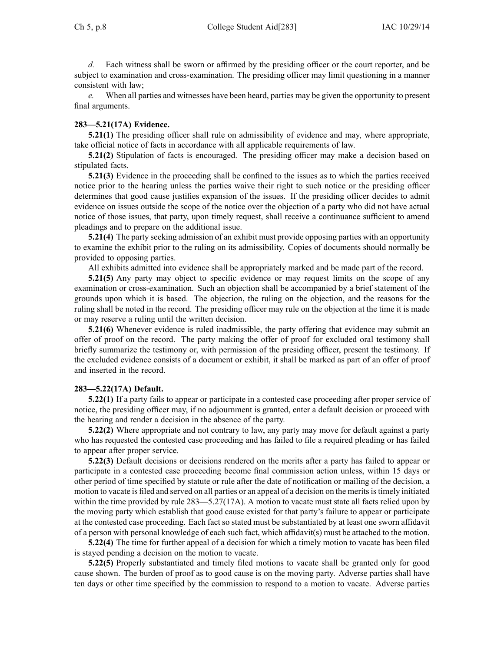*d.* Each witness shall be sworn or affirmed by the presiding officer or the court reporter, and be subject to examination and cross-examination. The presiding officer may limit questioning in <sup>a</sup> manner consistent with law;

*e.* When all parties and witnesses have been heard, parties may be given the opportunity to presen<sup>t</sup> final arguments.

### **283—5.21(17A) Evidence.**

**5.21(1)** The presiding officer shall rule on admissibility of evidence and may, where appropriate, take official notice of facts in accordance with all applicable requirements of law.

**5.21(2)** Stipulation of facts is encouraged. The presiding officer may make <sup>a</sup> decision based on stipulated facts.

**5.21(3)** Evidence in the proceeding shall be confined to the issues as to which the parties received notice prior to the hearing unless the parties waive their right to such notice or the presiding officer determines that good cause justifies expansion of the issues. If the presiding officer decides to admit evidence on issues outside the scope of the notice over the objection of <sup>a</sup> party who did not have actual notice of those issues, that party, upon timely request, shall receive <sup>a</sup> continuance sufficient to amend pleadings and to prepare on the additional issue.

**5.21(4)** The party seeking admission of an exhibit must provide opposing parties with an opportunity to examine the exhibit prior to the ruling on its admissibility. Copies of documents should normally be provided to opposing parties.

All exhibits admitted into evidence shall be appropriately marked and be made par<sup>t</sup> of the record.

**5.21(5)** Any party may object to specific evidence or may reques<sup>t</sup> limits on the scope of any examination or cross-examination. Such an objection shall be accompanied by <sup>a</sup> brief statement of the grounds upon which it is based. The objection, the ruling on the objection, and the reasons for the ruling shall be noted in the record. The presiding officer may rule on the objection at the time it is made or may reserve <sup>a</sup> ruling until the written decision.

**5.21(6)** Whenever evidence is ruled inadmissible, the party offering that evidence may submit an offer of proof on the record. The party making the offer of proof for excluded oral testimony shall briefly summarize the testimony or, with permission of the presiding officer, presen<sup>t</sup> the testimony. If the excluded evidence consists of <sup>a</sup> document or exhibit, it shall be marked as par<sup>t</sup> of an offer of proof and inserted in the record.

### **283—5.22(17A) Default.**

**5.22(1)** If <sup>a</sup> party fails to appear or participate in <sup>a</sup> contested case proceeding after proper service of notice, the presiding officer may, if no adjournment is granted, enter <sup>a</sup> default decision or proceed with the hearing and render <sup>a</sup> decision in the absence of the party.

**5.22(2)** Where appropriate and not contrary to law, any party may move for default against <sup>a</sup> party who has requested the contested case proceeding and has failed to file <sup>a</sup> required pleading or has failed to appear after proper service.

**5.22(3)** Default decisions or decisions rendered on the merits after <sup>a</sup> party has failed to appear or participate in <sup>a</sup> contested case proceeding become final commission action unless, within 15 days or other period of time specified by statute or rule after the date of notification or mailing of the decision, <sup>a</sup> motion to vacate is filed and served on all parties or an appeal of a decision on the merits is timely initiated within the time provided by rule 283—5.27(17A). A motion to vacate must state all facts relied upon by the moving party which establish that good cause existed for that party's failure to appear or participate at the contested case proceeding. Each fact so stated must be substantiated by at least one sworn affidavit of <sup>a</sup> person with personal knowledge of each such fact, which affidavit(s) must be attached to the motion.

**5.22(4)** The time for further appeal of <sup>a</sup> decision for which <sup>a</sup> timely motion to vacate has been filed is stayed pending <sup>a</sup> decision on the motion to vacate.

**5.22(5)** Properly substantiated and timely filed motions to vacate shall be granted only for good cause shown. The burden of proof as to good cause is on the moving party. Adverse parties shall have ten days or other time specified by the commission to respond to <sup>a</sup> motion to vacate. Adverse parties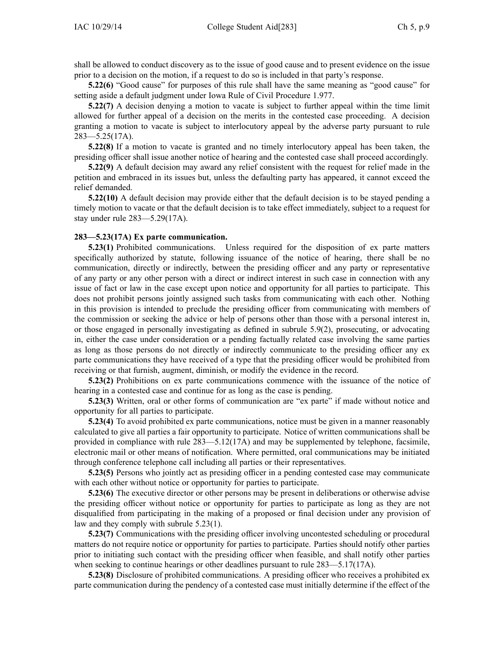shall be allowed to conduct discovery as to the issue of good cause and to presen<sup>t</sup> evidence on the issue prior to <sup>a</sup> decision on the motion, if <sup>a</sup> reques<sup>t</sup> to do so is included in that party's response.

**5.22(6)** "Good cause" for purposes of this rule shall have the same meaning as "good cause" for setting aside <sup>a</sup> default judgment under Iowa Rule of Civil Procedure 1.977.

**5.22(7)** A decision denying <sup>a</sup> motion to vacate is subject to further appeal within the time limit allowed for further appeal of <sup>a</sup> decision on the merits in the contested case proceeding. A decision granting <sup>a</sup> motion to vacate is subject to interlocutory appeal by the adverse party pursuan<sup>t</sup> to rule 283—5.25(17A).

**5.22(8)** If <sup>a</sup> motion to vacate is granted and no timely interlocutory appeal has been taken, the presiding officer shall issue another notice of hearing and the contested case shall proceed accordingly.

**5.22(9)** A default decision may award any relief consistent with the reques<sup>t</sup> for relief made in the petition and embraced in its issues but, unless the defaulting party has appeared, it cannot exceed the relief demanded.

**5.22(10)** A default decision may provide either that the default decision is to be stayed pending <sup>a</sup> timely motion to vacate or that the default decision is to take effect immediately, subject to <sup>a</sup> reques<sup>t</sup> for stay under rule 283—5.29(17A).

#### **283—5.23(17A) Ex parte communication.**

**5.23(1)** Prohibited communications. Unless required for the disposition of ex parte matters specifically authorized by statute, following issuance of the notice of hearing, there shall be no communication, directly or indirectly, between the presiding officer and any party or representative of any party or any other person with <sup>a</sup> direct or indirect interest in such case in connection with any issue of fact or law in the case excep<sup>t</sup> upon notice and opportunity for all parties to participate. This does not prohibit persons jointly assigned such tasks from communicating with each other. Nothing in this provision is intended to preclude the presiding officer from communicating with members of the commission or seeking the advice or help of persons other than those with <sup>a</sup> personal interest in, or those engaged in personally investigating as defined in subrule 5.9(2), prosecuting, or advocating in, either the case under consideration or <sup>a</sup> pending factually related case involving the same parties as long as those persons do not directly or indirectly communicate to the presiding officer any ex parte communications they have received of <sup>a</sup> type that the presiding officer would be prohibited from receiving or that furnish, augment, diminish, or modify the evidence in the record.

**5.23(2)** Prohibitions on ex parte communications commence with the issuance of the notice of hearing in <sup>a</sup> contested case and continue for as long as the case is pending.

**5.23(3)** Written, oral or other forms of communication are "ex parte" if made without notice and opportunity for all parties to participate.

**5.23(4)** To avoid prohibited ex parte communications, notice must be given in <sup>a</sup> manner reasonably calculated to give all parties <sup>a</sup> fair opportunity to participate. Notice of written communications shall be provided in compliance with rule 283—5.12(17A) and may be supplemented by telephone, facsimile, electronic mail or other means of notification. Where permitted, oral communications may be initiated through conference telephone call including all parties or their representatives.

**5.23(5)** Persons who jointly act as presiding officer in <sup>a</sup> pending contested case may communicate with each other without notice or opportunity for parties to participate.

**5.23(6)** The executive director or other persons may be presen<sup>t</sup> in deliberations or otherwise advise the presiding officer without notice or opportunity for parties to participate as long as they are not disqualified from participating in the making of <sup>a</sup> proposed or final decision under any provision of law and they comply with subrule 5.23(1).

**5.23(7)** Communications with the presiding officer involving uncontested scheduling or procedural matters do not require notice or opportunity for parties to participate. Parties should notify other parties prior to initiating such contact with the presiding officer when feasible, and shall notify other parties when seeking to continue hearings or other deadlines pursuan<sup>t</sup> to rule 283—5.17(17A).

**5.23(8)** Disclosure of prohibited communications. A presiding officer who receives <sup>a</sup> prohibited ex parte communication during the pendency of <sup>a</sup> contested case must initially determine if the effect of the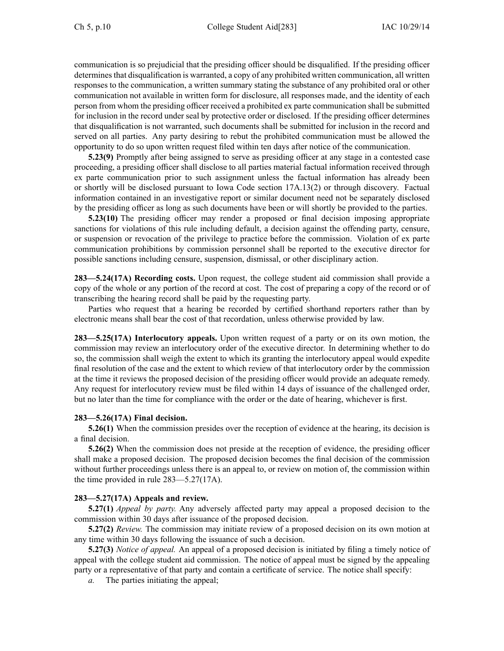communication is so prejudicial that the presiding officer should be disqualified. If the presiding officer determines that disqualification is warranted, a copy of any prohibited written communication, all written responses to the communication, <sup>a</sup> written summary stating the substance of any prohibited oral or other communication not available in written form for disclosure, all responses made, and the identity of each person from whom the presiding officer received <sup>a</sup> prohibited ex parte communication shall be submitted for inclusion in the record under seal by protective order or disclosed. If the presiding officer determines that disqualification is not warranted, such documents shall be submitted for inclusion in the record and served on all parties. Any party desiring to rebut the prohibited communication must be allowed the opportunity to do so upon written reques<sup>t</sup> filed within ten days after notice of the communication.

**5.23(9)** Promptly after being assigned to serve as presiding officer at any stage in <sup>a</sup> contested case proceeding, <sup>a</sup> presiding officer shall disclose to all parties material factual information received through ex parte communication prior to such assignment unless the factual information has already been or shortly will be disclosed pursuan<sup>t</sup> to Iowa Code section [17A.13\(2\)](https://www.legis.iowa.gov/docs/ico/section/17A.13.pdf) or through discovery. Factual information contained in an investigative repor<sup>t</sup> or similar document need not be separately disclosed by the presiding officer as long as such documents have been or will shortly be provided to the parties.

**5.23(10)** The presiding officer may render <sup>a</sup> proposed or final decision imposing appropriate sanctions for violations of this rule including default, <sup>a</sup> decision against the offending party, censure, or suspension or revocation of the privilege to practice before the commission. Violation of ex parte communication prohibitions by commission personnel shall be reported to the executive director for possible sanctions including censure, suspension, dismissal, or other disciplinary action.

**283—5.24(17A) Recording costs.** Upon request, the college student aid commission shall provide <sup>a</sup> copy of the whole or any portion of the record at cost. The cost of preparing <sup>a</sup> copy of the record or of transcribing the hearing record shall be paid by the requesting party.

Parties who reques<sup>t</sup> that <sup>a</sup> hearing be recorded by certified shorthand reporters rather than by electronic means shall bear the cost of that recordation, unless otherwise provided by law.

**283—5.25(17A) Interlocutory appeals.** Upon written reques<sup>t</sup> of <sup>a</sup> party or on its own motion, the commission may review an interlocutory order of the executive director. In determining whether to do so, the commission shall weigh the extent to which its granting the interlocutory appeal would expedite final resolution of the case and the extent to which review of that interlocutory order by the commission at the time it reviews the proposed decision of the presiding officer would provide an adequate remedy. Any reques<sup>t</sup> for interlocutory review must be filed within 14 days of issuance of the challenged order, but no later than the time for compliance with the order or the date of hearing, whichever is first.

### **283—5.26(17A) Final decision.**

**5.26(1)** When the commission presides over the reception of evidence at the hearing, its decision is <sup>a</sup> final decision.

**5.26(2)** When the commission does not preside at the reception of evidence, the presiding officer shall make <sup>a</sup> proposed decision. The proposed decision becomes the final decision of the commission without further proceedings unless there is an appeal to, or review on motion of, the commission within the time provided in rule 283—5.27(17A).

### **283—5.27(17A) Appeals and review.**

**5.27(1)** *Appeal by party.* Any adversely affected party may appeal <sup>a</sup> proposed decision to the commission within 30 days after issuance of the proposed decision.

**5.27(2)** *Review.* The commission may initiate review of <sup>a</sup> proposed decision on its own motion at any time within 30 days following the issuance of such <sup>a</sup> decision.

**5.27(3)** *Notice of appeal.* An appeal of <sup>a</sup> proposed decision is initiated by filing <sup>a</sup> timely notice of appeal with the college student aid commission. The notice of appeal must be signed by the appealing party or <sup>a</sup> representative of that party and contain <sup>a</sup> certificate of service. The notice shall specify:

*a.* The parties initiating the appeal;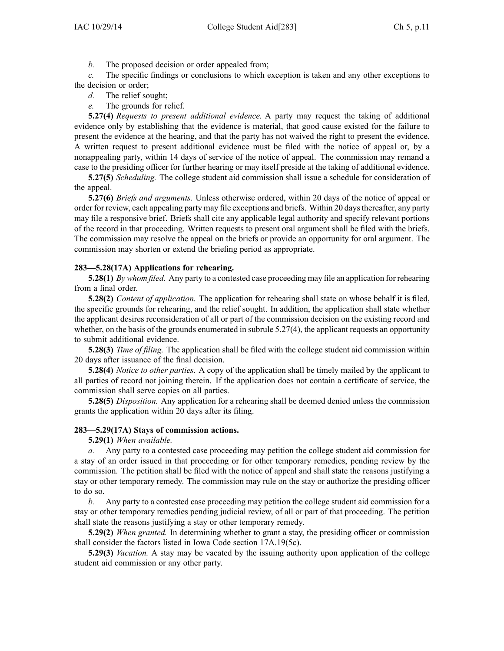*b.* The proposed decision or order appealed from;

*c.* The specific findings or conclusions to which exception is taken and any other exceptions to the decision or order;

- *d.* The relief sought;
- *e.* The grounds for relief.

**5.27(4)** *Requests to presen<sup>t</sup> additional evidence.* A party may reques<sup>t</sup> the taking of additional evidence only by establishing that the evidence is material, that good cause existed for the failure to presen<sup>t</sup> the evidence at the hearing, and that the party has not waived the right to presen<sup>t</sup> the evidence. A written reques<sup>t</sup> to presen<sup>t</sup> additional evidence must be filed with the notice of appeal or, by <sup>a</sup> nonappealing party, within 14 days of service of the notice of appeal. The commission may remand <sup>a</sup> case to the presiding officer for further hearing or may itself preside at the taking of additional evidence.

**5.27(5)** *Scheduling.* The college student aid commission shall issue <sup>a</sup> schedule for consideration of the appeal.

**5.27(6)** *Briefs and arguments.* Unless otherwise ordered, within 20 days of the notice of appeal or order for review, each appealing party may file exceptions and briefs. Within 20 daysthereafter, any party may file <sup>a</sup> responsive brief. Briefs shall cite any applicable legal authority and specify relevant portions of the record in that proceeding. Written requests to presen<sup>t</sup> oral argumen<sup>t</sup> shall be filed with the briefs. The commission may resolve the appeal on the briefs or provide an opportunity for oral argument. The commission may shorten or extend the briefing period as appropriate.

# **283—5.28(17A) Applications for rehearing.**

**5.28(1)** *By whom filed.* Any party to <sup>a</sup> contested case proceeding may file an application for rehearing from <sup>a</sup> final order.

**5.28(2)** *Content of application.* The application for rehearing shall state on whose behalf it is filed, the specific grounds for rehearing, and the relief sought. In addition, the application shall state whether the applicant desires reconsideration of all or par<sup>t</sup> of the commission decision on the existing record and whether, on the basis of the grounds enumerated in subrule 5.27(4), the applicant requests an opportunity to submit additional evidence.

**5.28(3)** *Time of filing.* The application shall be filed with the college student aid commission within 20 days after issuance of the final decision.

**5.28(4)** *Notice to other parties.* A copy of the application shall be timely mailed by the applicant to all parties of record not joining therein. If the application does not contain <sup>a</sup> certificate of service, the commission shall serve copies on all parties.

**5.28(5)** *Disposition.* Any application for <sup>a</sup> rehearing shall be deemed denied unless the commission grants the application within 20 days after its filing.

### **283—5.29(17A) Stays of commission actions.**

**5.29(1)** *When available.*

*a.* Any party to <sup>a</sup> contested case proceeding may petition the college student aid commission for <sup>a</sup> stay of an order issued in that proceeding or for other temporary remedies, pending review by the commission. The petition shall be filed with the notice of appeal and shall state the reasons justifying <sup>a</sup> stay or other temporary remedy. The commission may rule on the stay or authorize the presiding officer to do so.

*b.* Any party to <sup>a</sup> contested case proceeding may petition the college student aid commission for <sup>a</sup> stay or other temporary remedies pending judicial review, of all or par<sup>t</sup> of that proceeding. The petition shall state the reasons justifying <sup>a</sup> stay or other temporary remedy.

**5.29(2)** *When granted.* In determining whether to gran<sup>t</sup> <sup>a</sup> stay, the presiding officer or commission shall consider the factors listed in Iowa Code section [17A.19\(5c\)](https://www.legis.iowa.gov/docs/ico/section/17A.19.pdf).

**5.29(3)** *Vacation.* A stay may be vacated by the issuing authority upon application of the college student aid commission or any other party.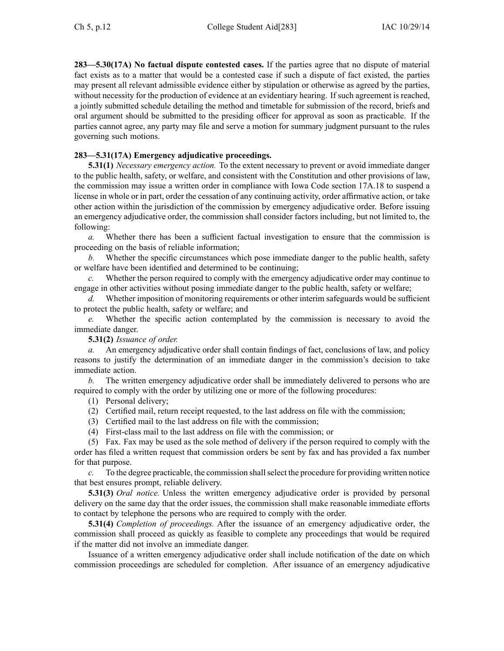**283—5.30(17A) No factual dispute contested cases.** If the parties agree that no dispute of material fact exists as to <sup>a</sup> matter that would be <sup>a</sup> contested case if such <sup>a</sup> dispute of fact existed, the parties may presen<sup>t</sup> all relevant admissible evidence either by stipulation or otherwise as agreed by the parties, without necessity for the production of evidence at an evidentiary hearing. If such agreemen<sup>t</sup> is reached, <sup>a</sup> jointly submitted schedule detailing the method and timetable for submission of the record, briefs and oral argumen<sup>t</sup> should be submitted to the presiding officer for approval as soon as practicable. If the parties cannot agree, any party may file and serve <sup>a</sup> motion for summary judgment pursuan<sup>t</sup> to the rules governing such motions.

### **283—5.31(17A) Emergency adjudicative proceedings.**

**5.31(1)** *Necessary emergency action.* To the extent necessary to preven<sup>t</sup> or avoid immediate danger to the public health, safety, or welfare, and consistent with the Constitution and other provisions of law, the commission may issue <sup>a</sup> written order in compliance with Iowa Code section [17A.18](https://www.legis.iowa.gov/docs/ico/section/17A.18.pdf) to suspend <sup>a</sup> license in whole or in part, order the cessation of any continuing activity, order affirmative action, or take other action within the jurisdiction of the commission by emergency adjudicative order. Before issuing an emergency adjudicative order, the commission shall consider factors including, but not limited to, the following:

*a.* Whether there has been <sup>a</sup> sufficient factual investigation to ensure that the commission is proceeding on the basis of reliable information;

*b.* Whether the specific circumstances which pose immediate danger to the public health, safety or welfare have been identified and determined to be continuing;

*c.* Whether the person required to comply with the emergency adjudicative order may continue to engage in other activities without posing immediate danger to the public health, safety or welfare;

*d.* Whether imposition of monitoring requirements or other interim safeguards would be sufficient to protect the public health, safety or welfare; and

*e.* Whether the specific action contemplated by the commission is necessary to avoid the immediate danger.

**5.31(2)** *Issuance of order.*

*a.* An emergency adjudicative order shall contain findings of fact, conclusions of law, and policy reasons to justify the determination of an immediate danger in the commission's decision to take immediate action.

*b.* The written emergency adjudicative order shall be immediately delivered to persons who are required to comply with the order by utilizing one or more of the following procedures:

(1) Personal delivery;

- (2) Certified mail, return receipt requested, to the last address on file with the commission;
- (3) Certified mail to the last address on file with the commission;
- (4) First-class mail to the last address on file with the commission; or

(5) Fax. Fax may be used as the sole method of delivery if the person required to comply with the order has filed <sup>a</sup> written reques<sup>t</sup> that commission orders be sent by fax and has provided <sup>a</sup> fax number for that purpose.

*c.* To the degree practicable, the commission shall select the procedure for providing written notice that best ensures prompt, reliable delivery.

**5.31(3)** *Oral notice.* Unless the written emergency adjudicative order is provided by personal delivery on the same day that the order issues, the commission shall make reasonable immediate efforts to contact by telephone the persons who are required to comply with the order.

**5.31(4)** *Completion of proceedings.* After the issuance of an emergency adjudicative order, the commission shall proceed as quickly as feasible to complete any proceedings that would be required if the matter did not involve an immediate danger.

Issuance of <sup>a</sup> written emergency adjudicative order shall include notification of the date on which commission proceedings are scheduled for completion. After issuance of an emergency adjudicative